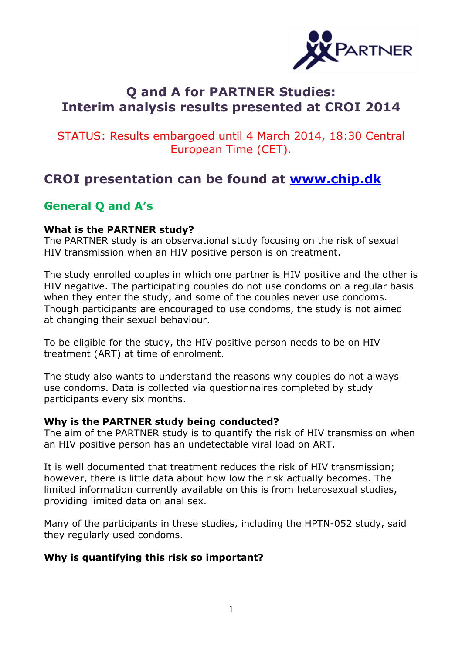

# **Q and A for PARTNER Studies: Interim analysis results presented at CROI 2014**

## STATUS: Results embargoed until 4 March 2014, 18:30 Central European Time (CET).

# **CROI presentation can be found at www.chip.dk**

## **General Q and A's**

## **What is the PARTNER study?**

The PARTNER study is an observational study focusing on the risk of sexual HIV transmission when an HIV positive person is on treatment.

The study enrolled couples in which one partner is HIV positive and the other is HIV negative. The participating couples do not use condoms on a regular basis when they enter the study, and some of the couples never use condoms. Though participants are encouraged to use condoms, the study is not aimed at changing their sexual behaviour.

To be eligible for the study, the HIV positive person needs to be on HIV treatment (ART) at time of enrolment.

The study also wants to understand the reasons why couples do not always use condoms. Data is collected via questionnaires completed by study participants every six months.

## **Why is the PARTNER study being conducted?**

The aim of the PARTNER study is to quantify the risk of HIV transmission when an HIV positive person has an undetectable viral load on ART.

It is well documented that treatment reduces the risk of HIV transmission; however, there is little data about how low the risk actually becomes. The limited information currently available on this is from heterosexual studies, providing limited data on anal sex.

Many of the participants in these studies, including the HPTN-052 study, said they regularly used condoms.

## **Why is quantifying this risk so important?**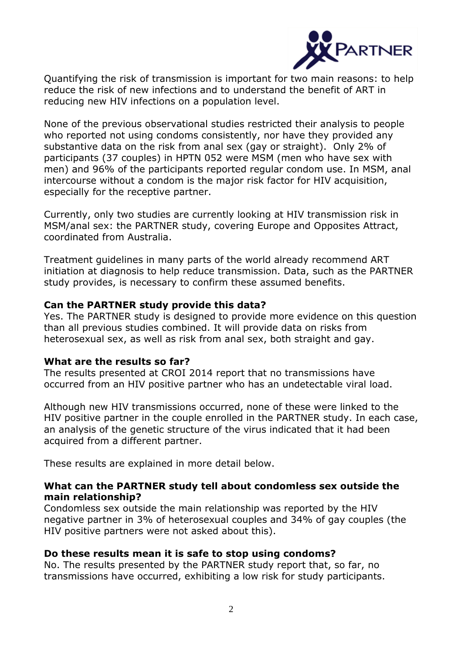

Quantifying the risk of transmission is important for two main reasons: to help reduce the risk of new infections and to understand the benefit of ART in reducing new HIV infections on a population level.

None of the previous observational studies restricted their analysis to people who reported not using condoms consistently, nor have they provided any substantive data on the risk from anal sex (gay or straight). Only 2% of participants (37 couples) in HPTN 052 were MSM (men who have sex with men) and 96% of the participants reported regular condom use. In MSM, anal intercourse without a condom is the major risk factor for HIV acquisition, especially for the receptive partner.

Currently, only two studies are currently looking at HIV transmission risk in MSM/anal sex: the PARTNER study, covering Europe and Opposites Attract, coordinated from Australia.

Treatment guidelines in many parts of the world already recommend ART initiation at diagnosis to help reduce transmission. Data, such as the PARTNER study provides, is necessary to confirm these assumed benefits.

## **Can the PARTNER study provide this data?**

Yes. The PARTNER study is designed to provide more evidence on this question than all previous studies combined. It will provide data on risks from heterosexual sex, as well as risk from anal sex, both straight and gay.

## **What are the results so far?**

The results presented at CROI 2014 report that no transmissions have occurred from an HIV positive partner who has an undetectable viral load.

Although new HIV transmissions occurred, none of these were linked to the HIV positive partner in the couple enrolled in the PARTNER study. In each case, an analysis of the genetic structure of the virus indicated that it had been acquired from a different partner.

These results are explained in more detail below.

## **What can the PARTNER study tell about condomless sex outside the main relationship?**

Condomless sex outside the main relationship was reported by the HIV negative partner in 3% of heterosexual couples and 34% of gay couples (the HIV positive partners were not asked about this).

## **Do these results mean it is safe to stop using condoms?**

No. The results presented by the PARTNER study report that, so far, no transmissions have occurred, exhibiting a low risk for study participants.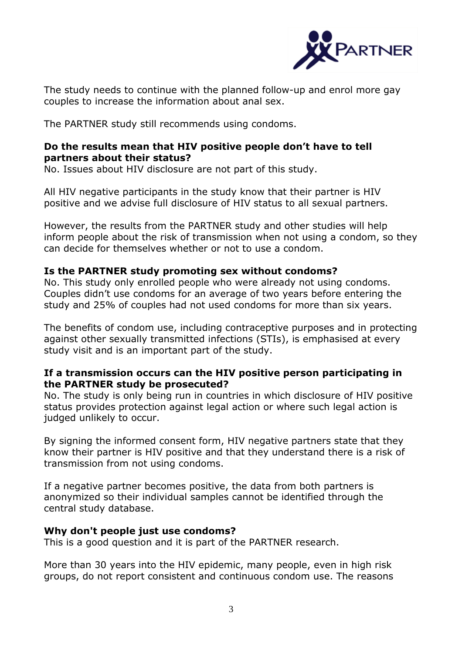

The study needs to continue with the planned follow-up and enrol more gay couples to increase the information about anal sex.

The PARTNER study still recommends using condoms.

## **Do the results mean that HIV positive people don't have to tell partners about their status?**

No. Issues about HIV disclosure are not part of this study.

All HIV negative participants in the study know that their partner is HIV positive and we advise full disclosure of HIV status to all sexual partners.

However, the results from the PARTNER study and other studies will help inform people about the risk of transmission when not using a condom, so they can decide for themselves whether or not to use a condom.

## **Is the PARTNER study promoting sex without condoms?**

No. This study only enrolled people who were already not using condoms. Couples didn't use condoms for an average of two years before entering the study and 25% of couples had not used condoms for more than six years.

The benefits of condom use, including contraceptive purposes and in protecting against other sexually transmitted infections (STIs), is emphasised at every study visit and is an important part of the study.

## **If a transmission occurs can the HIV positive person participating in the PARTNER study be prosecuted?**

No. The study is only being run in countries in which disclosure of HIV positive status provides protection against legal action or where such legal action is judged unlikely to occur.

By signing the informed consent form, HIV negative partners state that they know their partner is HIV positive and that they understand there is a risk of transmission from not using condoms.

If a negative partner becomes positive, the data from both partners is anonymized so their individual samples cannot be identified through the central study database.

## **Why don't people just use condoms?**

This is a good question and it is part of the PARTNER research.

More than 30 years into the HIV epidemic, many people, even in high risk groups, do not report consistent and continuous condom use. The reasons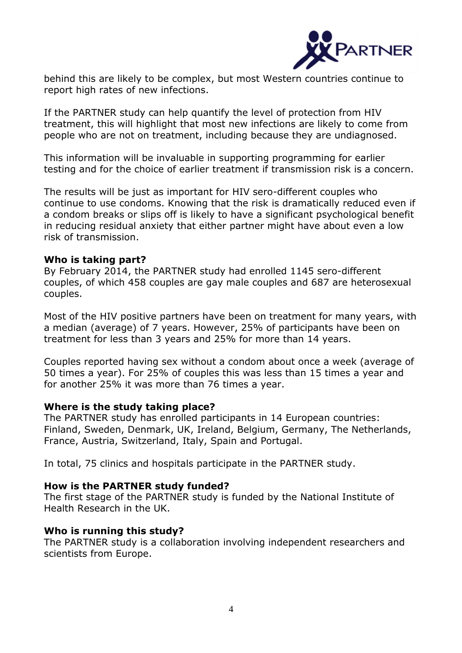

behind this are likely to be complex, but most Western countries continue to report high rates of new infections.

If the PARTNER study can help quantify the level of protection from HIV treatment, this will highlight that most new infections are likely to come from people who are not on treatment, including because they are undiagnosed.

This information will be invaluable in supporting programming for earlier testing and for the choice of earlier treatment if transmission risk is a concern.

The results will be just as important for HIV sero-different couples who continue to use condoms. Knowing that the risk is dramatically reduced even if a condom breaks or slips off is likely to have a significant psychological benefit in reducing residual anxiety that either partner might have about even a low risk of transmission.

#### **Who is taking part?**

By February 2014, the PARTNER study had enrolled 1145 sero-different couples, of which 458 couples are gay male couples and 687 are heterosexual couples.

Most of the HIV positive partners have been on treatment for many years, with a median (average) of 7 years. However, 25% of participants have been on treatment for less than 3 years and 25% for more than 14 years.

Couples reported having sex without a condom about once a week (average of 50 times a year). For 25% of couples this was less than 15 times a year and for another 25% it was more than 76 times a year.

#### **Where is the study taking place?**

The PARTNER study has enrolled participants in 14 European countries: Finland, Sweden, Denmark, UK, Ireland, Belgium, Germany, The Netherlands, France, Austria, Switzerland, Italy, Spain and Portugal.

In total, 75 clinics and hospitals participate in the PARTNER study.

#### **How is the PARTNER study funded?**

The first stage of the PARTNER study is funded by the National Institute of Health Research in the UK.

#### **Who is running this study?**

The PARTNER study is a collaboration involving independent researchers and scientists from Europe.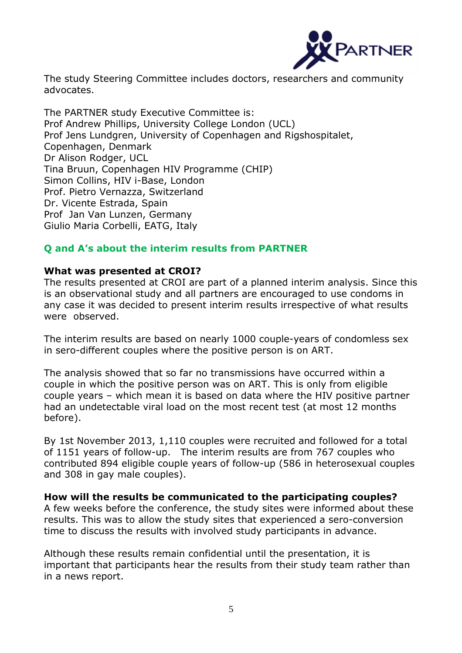

The study Steering Committee includes doctors, researchers and community advocates.

The PARTNER study Executive Committee is: Prof Andrew Phillips, University College London (UCL) Prof Jens Lundgren, University of Copenhagen and Rigshospitalet, Copenhagen, Denmark Dr Alison Rodger, UCL Tina Bruun, Copenhagen HIV Programme (CHIP) Simon Collins, HIV i-Base, London Prof. Pietro Vernazza, Switzerland Dr. Vicente Estrada, Spain Prof Jan Van Lunzen, Germany Giulio Maria Corbelli, EATG, Italy

## **Q and A's about the interim results from PARTNER**

#### **What was presented at CROI?**

The results presented at CROI are part of a planned interim analysis. Since this is an observational study and all partners are encouraged to use condoms in any case it was decided to present interim results irrespective of what results were observed.

The interim results are based on nearly 1000 couple-years of condomless sex in sero-different couples where the positive person is on ART.

The analysis showed that so far no transmissions have occurred within a couple in which the positive person was on ART. This is only from eligible couple years – which mean it is based on data where the HIV positive partner had an undetectable viral load on the most recent test (at most 12 months before).

By 1st November 2013, 1,110 couples were recruited and followed for a total of 1151 years of follow-up. The interim results are from 767 couples who contributed 894 eligible couple years of follow-up (586 in heterosexual couples and 308 in gay male couples).

#### **How will the results be communicated to the participating couples?** A few weeks before the conference, the study sites were informed about these results. This was to allow the study sites that experienced a sero-conversion time to discuss the results with involved study participants in advance.

Although these results remain confidential until the presentation, it is important that participants hear the results from their study team rather than in a news report.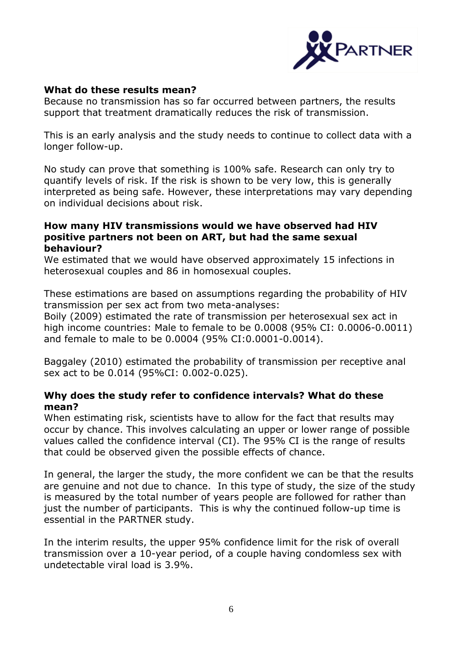

## **What do these results mean?**

Because no transmission has so far occurred between partners, the results support that treatment dramatically reduces the risk of transmission.

This is an early analysis and the study needs to continue to collect data with a longer follow-up.

No study can prove that something is 100% safe. Research can only try to quantify levels of risk. If the risk is shown to be very low, this is generally interpreted as being safe. However, these interpretations may vary depending on individual decisions about risk.

## **How many HIV transmissions would we have observed had HIV positive partners not been on ART, but had the same sexual behaviour?**

We estimated that we would have observed approximately 15 infections in heterosexual couples and 86 in homosexual couples.

These estimations are based on assumptions regarding the probability of HIV transmission per sex act from two meta-analyses:

Boily (2009) estimated the rate of transmission per heterosexual sex act in high income countries: Male to female to be 0.0008 (95% CI: 0.0006-0.0011) and female to male to be 0.0004 (95% CI:0.0001-0.0014).

Baggaley (2010) estimated the probability of transmission per receptive anal sex act to be 0.014 (95%CI: 0.002-0.025).

## **Why does the study refer to confidence intervals? What do these mean?**

When estimating risk, scientists have to allow for the fact that results may occur by chance. This involves calculating an upper or lower range of possible values called the confidence interval (CI). The 95% CI is the range of results that could be observed given the possible effects of chance.

In general, the larger the study, the more confident we can be that the results are genuine and not due to chance. In this type of study, the size of the study is measured by the total number of years people are followed for rather than just the number of participants. This is why the continued follow-up time is essential in the PARTNER study.

In the interim results, the upper 95% confidence limit for the risk of overall transmission over a 10-year period, of a couple having condomless sex with undetectable viral load is 3.9%.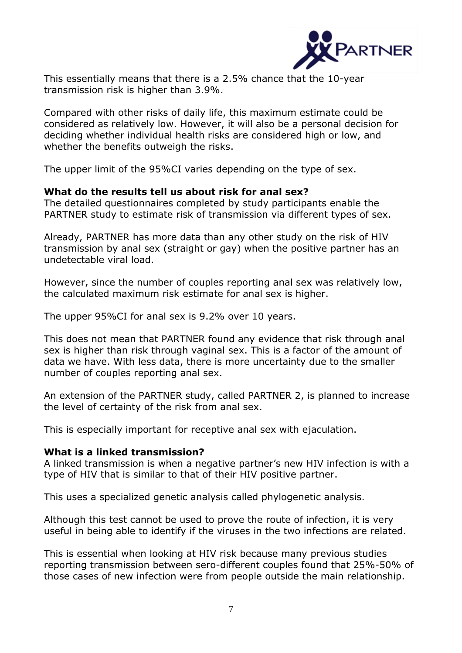

This essentially means that there is a 2.5% chance that the 10-year transmission risk is higher than 3.9%.

Compared with other risks of daily life, this maximum estimate could be considered as relatively low. However, it will also be a personal decision for deciding whether individual health risks are considered high or low, and whether the benefits outweigh the risks.

The upper limit of the 95%CI varies depending on the type of sex.

#### **What do the results tell us about risk for anal sex?**

The detailed questionnaires completed by study participants enable the PARTNER study to estimate risk of transmission via different types of sex.

Already, PARTNER has more data than any other study on the risk of HIV transmission by anal sex (straight or gay) when the positive partner has an undetectable viral load.

However, since the number of couples reporting anal sex was relatively low, the calculated maximum risk estimate for anal sex is higher.

The upper 95%CI for anal sex is 9.2% over 10 years.

This does not mean that PARTNER found any evidence that risk through anal sex is higher than risk through vaginal sex. This is a factor of the amount of data we have. With less data, there is more uncertainty due to the smaller number of couples reporting anal sex.

An extension of the PARTNER study, called PARTNER 2, is planned to increase the level of certainty of the risk from anal sex.

This is especially important for receptive anal sex with ejaculation.

#### **What is a linked transmission?**

A linked transmission is when a negative partner's new HIV infection is with a type of HIV that is similar to that of their HIV positive partner.

This uses a specialized genetic analysis called phylogenetic analysis.

Although this test cannot be used to prove the route of infection, it is very useful in being able to identify if the viruses in the two infections are related.

This is essential when looking at HIV risk because many previous studies reporting transmission between sero-different couples found that 25%-50% of those cases of new infection were from people outside the main relationship.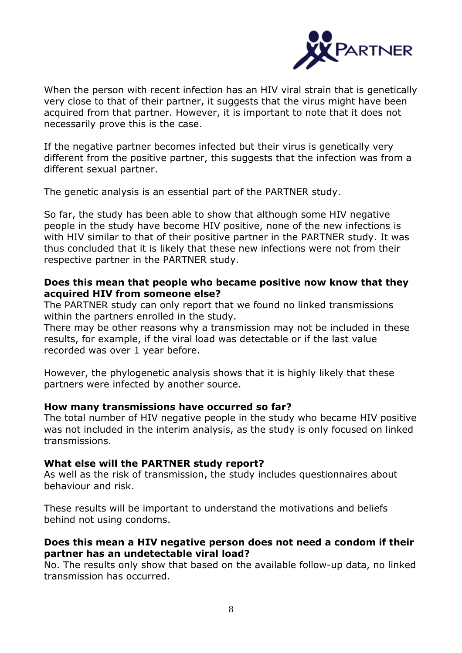

When the person with recent infection has an HIV viral strain that is genetically very close to that of their partner, it suggests that the virus might have been acquired from that partner. However, it is important to note that it does not necessarily prove this is the case.

If the negative partner becomes infected but their virus is genetically very different from the positive partner, this suggests that the infection was from a different sexual partner.

The genetic analysis is an essential part of the PARTNER study.

So far, the study has been able to show that although some HIV negative people in the study have become HIV positive, none of the new infections is with HIV similar to that of their positive partner in the PARTNER study. It was thus concluded that it is likely that these new infections were not from their respective partner in the PARTNER study.

## **Does this mean that people who became positive now know that they acquired HIV from someone else?**

The PARTNER study can only report that we found no linked transmissions within the partners enrolled in the study.

There may be other reasons why a transmission may not be included in these results, for example, if the viral load was detectable or if the last value recorded was over 1 year before.

However, the phylogenetic analysis shows that it is highly likely that these partners were infected by another source.

## **How many transmissions have occurred so far?**

The total number of HIV negative people in the study who became HIV positive was not included in the interim analysis, as the study is only focused on linked transmissions.

## **What else will the PARTNER study report?**

As well as the risk of transmission, the study includes questionnaires about behaviour and risk.

These results will be important to understand the motivations and beliefs behind not using condoms.

## **Does this mean a HIV negative person does not need a condom if their partner has an undetectable viral load?**

No. The results only show that based on the available follow-up data, no linked transmission has occurred.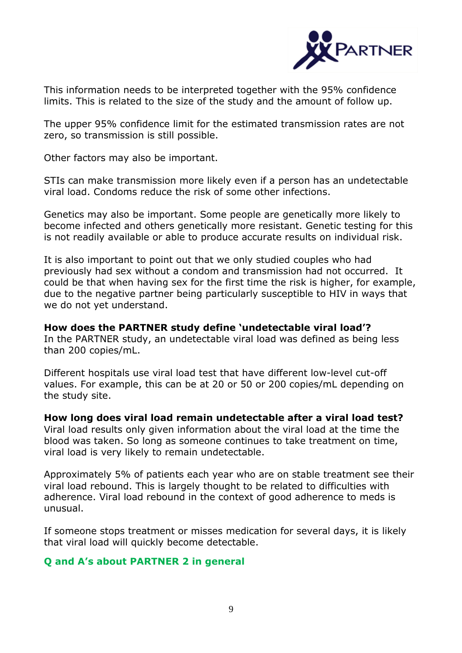

This information needs to be interpreted together with the 95% confidence limits. This is related to the size of the study and the amount of follow up.

The upper 95% confidence limit for the estimated transmission rates are not zero, so transmission is still possible.

Other factors may also be important.

STIs can make transmission more likely even if a person has an undetectable viral load. Condoms reduce the risk of some other infections.

Genetics may also be important. Some people are genetically more likely to become infected and others genetically more resistant. Genetic testing for this is not readily available or able to produce accurate results on individual risk.

It is also important to point out that we only studied couples who had previously had sex without a condom and transmission had not occurred. It could be that when having sex for the first time the risk is higher, for example, due to the negative partner being particularly susceptible to HIV in ways that we do not yet understand.

**How does the PARTNER study define 'undetectable viral load'?**  In the PARTNER study, an undetectable viral load was defined as being less than 200 copies/mL.

Different hospitals use viral load test that have different low-level cut-off values. For example, this can be at 20 or 50 or 200 copies/mL depending on the study site.

**How long does viral load remain undetectable after a viral load test?**  Viral load results only given information about the viral load at the time the blood was taken. So long as someone continues to take treatment on time, viral load is very likely to remain undetectable.

Approximately 5% of patients each year who are on stable treatment see their viral load rebound. This is largely thought to be related to difficulties with adherence. Viral load rebound in the context of good adherence to meds is unusual.

If someone stops treatment or misses medication for several days, it is likely that viral load will quickly become detectable.

## **Q and A's about PARTNER 2 in general**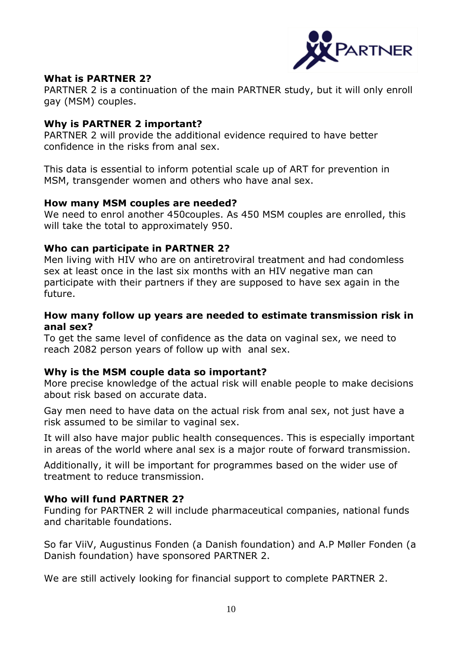

## **What is PARTNER 2?**

PARTNER 2 is a continuation of the main PARTNER study, but it will only enroll gay (MSM) couples.

## **Why is PARTNER 2 important?**

PARTNER 2 will provide the additional evidence required to have better confidence in the risks from anal sex.

This data is essential to inform potential scale up of ART for prevention in MSM, transgender women and others who have anal sex.

#### **How many MSM couples are needed?**

We need to enrol another 450couples. As 450 MSM couples are enrolled, this will take the total to approximately 950.

#### **Who can participate in PARTNER 2?**

Men living with HIV who are on antiretroviral treatment and had condomless sex at least once in the last six months with an HIV negative man can participate with their partners if they are supposed to have sex again in the future.

#### **How many follow up years are needed to estimate transmission risk in anal sex?**

To get the same level of confidence as the data on vaginal sex, we need to reach 2082 person years of follow up with anal sex.

## **Why is the MSM couple data so important?**

More precise knowledge of the actual risk will enable people to make decisions about risk based on accurate data.

Gay men need to have data on the actual risk from anal sex, not just have a risk assumed to be similar to vaginal sex.

It will also have major public health consequences. This is especially important in areas of the world where anal sex is a major route of forward transmission.

Additionally, it will be important for programmes based on the wider use of treatment to reduce transmission.

## **Who will fund PARTNER 2?**

Funding for PARTNER 2 will include pharmaceutical companies, national funds and charitable foundations.

So far ViiV, Augustinus Fonden (a Danish foundation) and A.P Møller Fonden (a Danish foundation) have sponsored PARTNER 2.

We are still actively looking for financial support to complete PARTNER 2.